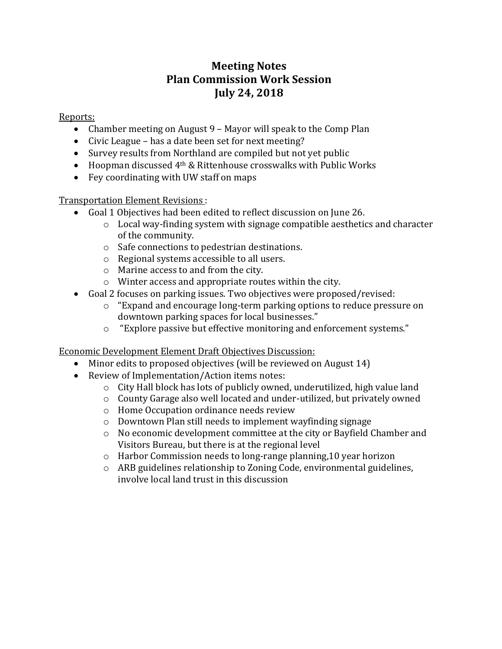## **Meeting Notes Plan Commission Work Session July 24, 2018**

Reports:

- Chamber meeting on August 9 Mayor will speak to the Comp Plan
- Civic League has a date been set for next meeting?
- Survey results from Northland are compiled but not yet public
- Hoopman discussed 4<sup>th</sup> & Rittenhouse crosswalks with Public Works
- Fey coordinating with UW staff on maps

Transportation Element Revisions :

- Goal 1 Objectives had been edited to reflect discussion on June 26.
	- $\circ$  Local way-finding system with signage compatible aesthetics and character of the community.
	- o Safe connections to pedestrian destinations.
	- o Regional systems accessible to all users.
	- o Marine access to and from the city.
	- o Winter access and appropriate routes within the city.
- Goal 2 focuses on parking issues. Two objectives were proposed/revised:
	- o "Expand and encourage long-term parking options to reduce pressure on downtown parking spaces for local businesses."
	- o "Explore passive but effective monitoring and enforcement systems."

Economic Development Element Draft Objectives Discussion:

- Minor edits to proposed objectives (will be reviewed on August 14)
- Review of Implementation/Action items notes:
	- o City Hall block has lots of publicly owned, underutilized, high value land
	- o County Garage also well located and under-utilized, but privately owned
	- o Home Occupation ordinance needs review
	- o Downtown Plan still needs to implement wayfinding signage
	- o No economic development committee at the city or Bayfield Chamber and Visitors Bureau, but there is at the regional level
	- o Harbor Commission needs to long-range planning,10 year horizon
	- o ARB guidelines relationship to Zoning Code, environmental guidelines, involve local land trust in this discussion